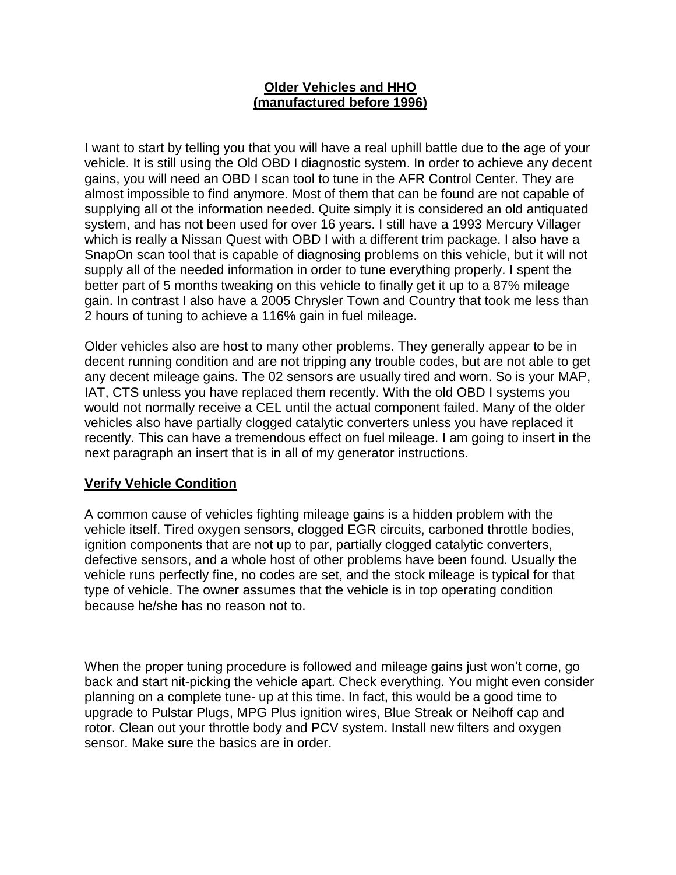## **Older Vehicles and HHO (manufactured before 1996)**

I want to start by telling you that you will have a real uphill battle due to the age of your vehicle. It is still using the Old OBD I diagnostic system. In order to achieve any decent gains, you will need an OBD I scan tool to tune in the AFR Control Center. They are almost impossible to find anymore. Most of them that can be found are not capable of supplying all ot the information needed. Quite simply it is considered an old antiquated system, and has not been used for over 16 years. I still have a 1993 Mercury Villager which is really a Nissan Quest with OBD I with a different trim package. I also have a SnapOn scan tool that is capable of diagnosing problems on this vehicle, but it will not supply all of the needed information in order to tune everything properly. I spent the better part of 5 months tweaking on this vehicle to finally get it up to a 87% mileage gain. In contrast I also have a 2005 Chrysler Town and Country that took me less than 2 hours of tuning to achieve a 116% gain in fuel mileage.

Older vehicles also are host to many other problems. They generally appear to be in decent running condition and are not tripping any trouble codes, but are not able to get any decent mileage gains. The 02 sensors are usually tired and worn. So is your MAP, IAT, CTS unless you have replaced them recently. With the old OBD I systems you would not normally receive a CEL until the actual component failed. Many of the older vehicles also have partially clogged catalytic converters unless you have replaced it recently. This can have a tremendous effect on fuel mileage. I am going to insert in the next paragraph an insert that is in all of my generator instructions.

## **Verify Vehicle Condition**

A common cause of vehicles fighting mileage gains is a hidden problem with the vehicle itself. Tired oxygen sensors, clogged EGR circuits, carboned throttle bodies, ignition components that are not up to par, partially clogged catalytic converters, defective sensors, and a whole host of other problems have been found. Usually the vehicle runs perfectly fine, no codes are set, and the stock mileage is typical for that type of vehicle. The owner assumes that the vehicle is in top operating condition because he/she has no reason not to.

When the proper tuning procedure is followed and mileage gains just won't come, go back and start nit-picking the vehicle apart. Check everything. You might even consider planning on a complete tune- up at this time. In fact, this would be a good time to upgrade to Pulstar Plugs, MPG Plus ignition wires, Blue Streak or Neihoff cap and rotor. Clean out your throttle body and PCV system. Install new filters and oxygen sensor. Make sure the basics are in order.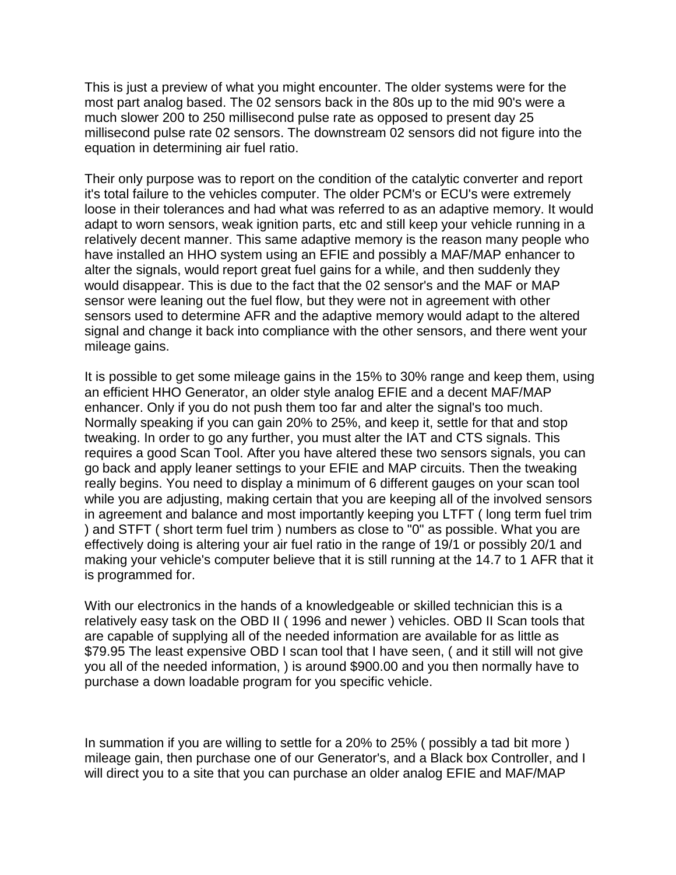This is just a preview of what you might encounter. The older systems were for the most part analog based. The 02 sensors back in the 80s up to the mid 90's were a much slower 200 to 250 millisecond pulse rate as opposed to present day 25 millisecond pulse rate 02 sensors. The downstream 02 sensors did not figure into the equation in determining air fuel ratio.

Their only purpose was to report on the condition of the catalytic converter and report it's total failure to the vehicles computer. The older PCM's or ECU's were extremely loose in their tolerances and had what was referred to as an adaptive memory. It would adapt to worn sensors, weak ignition parts, etc and still keep your vehicle running in a relatively decent manner. This same adaptive memory is the reason many people who have installed an HHO system using an EFIE and possibly a MAF/MAP enhancer to alter the signals, would report great fuel gains for a while, and then suddenly they would disappear. This is due to the fact that the 02 sensor's and the MAF or MAP sensor were leaning out the fuel flow, but they were not in agreement with other sensors used to determine AFR and the adaptive memory would adapt to the altered signal and change it back into compliance with the other sensors, and there went your mileage gains.

It is possible to get some mileage gains in the 15% to 30% range and keep them, using an efficient HHO Generator, an older style analog EFIE and a decent MAF/MAP enhancer. Only if you do not push them too far and alter the signal's too much. Normally speaking if you can gain 20% to 25%, and keep it, settle for that and stop tweaking. In order to go any further, you must alter the IAT and CTS signals. This requires a good Scan Tool. After you have altered these two sensors signals, you can go back and apply leaner settings to your EFIE and MAP circuits. Then the tweaking really begins. You need to display a minimum of 6 different gauges on your scan tool while you are adjusting, making certain that you are keeping all of the involved sensors in agreement and balance and most importantly keeping you LTFT ( long term fuel trim ) and STFT ( short term fuel trim ) numbers as close to "0" as possible. What you are effectively doing is altering your air fuel ratio in the range of 19/1 or possibly 20/1 and making your vehicle's computer believe that it is still running at the 14.7 to 1 AFR that it is programmed for.

With our electronics in the hands of a knowledgeable or skilled technician this is a relatively easy task on the OBD II ( 1996 and newer ) vehicles. OBD II Scan tools that are capable of supplying all of the needed information are available for as little as \$79.95 The least expensive OBD I scan tool that I have seen, ( and it still will not give you all of the needed information, ) is around \$900.00 and you then normally have to purchase a down loadable program for you specific vehicle.

In summation if you are willing to settle for a 20% to 25% ( possibly a tad bit more ) mileage gain, then purchase one of our Generator's, and a Black box Controller, and I will direct you to a site that you can purchase an older analog EFIE and MAF/MAP